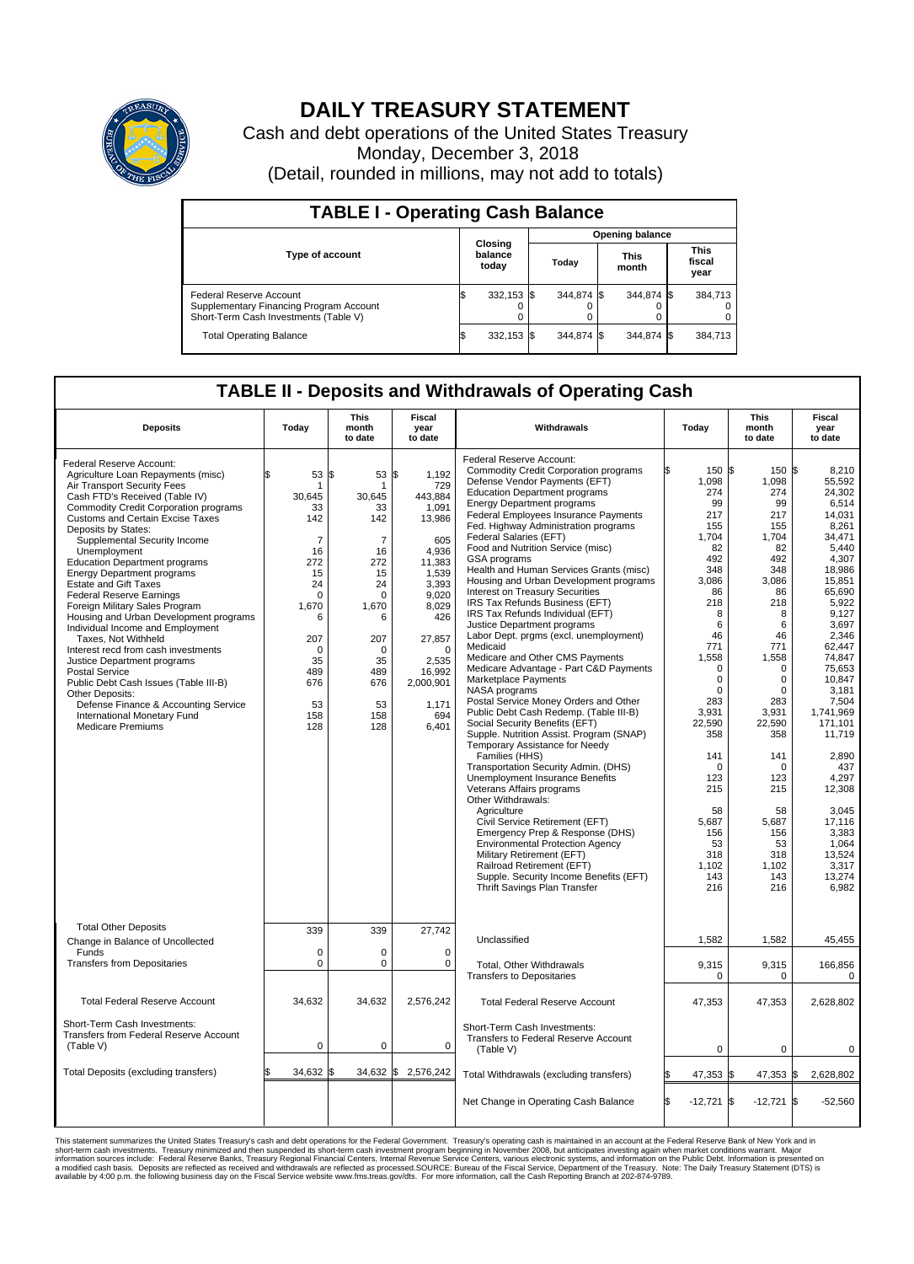

## **DAILY TREASURY STATEMENT**

Cash and debt operations of the United States Treasury Monday, December 3, 2018 (Detail, rounded in millions, may not add to totals)

| <b>TABLE I - Operating Cash Balance</b>                                                                     |    |                             |                        |            |  |                      |  |                               |  |
|-------------------------------------------------------------------------------------------------------------|----|-----------------------------|------------------------|------------|--|----------------------|--|-------------------------------|--|
|                                                                                                             |    |                             | <b>Opening balance</b> |            |  |                      |  |                               |  |
| <b>Type of account</b>                                                                                      |    | Closing<br>balance<br>today |                        | Today      |  | <b>This</b><br>month |  | <b>This</b><br>fiscal<br>year |  |
| Federal Reserve Account<br>Supplementary Financing Program Account<br>Short-Term Cash Investments (Table V) |    | 332,153 \$                  |                        | 344.874 \$ |  | 344,874 \$           |  | 384,713                       |  |
| <b>Total Operating Balance</b>                                                                              | IЭ | 332,153 \$                  |                        | 344.874 \$ |  | 344,874 \$           |  | 384,713                       |  |

## **TABLE II - Deposits and Withdrawals of Operating Cash**

| <b>Deposits</b>                                                                                                                                                                                                                                                                                                                                                                                                                                                                                                                                                                                                                                                                                                                                                                                                                                 | Today                                                                                                                                                                       | <b>This</b><br>month<br>to date                                                                                                                           | <b>Fiscal</b><br>year<br>to date                                                                                                                                                                        | Withdrawals                                                                                                                                                                                                                                                                                                                                                                                                                                                                                                                                                                                                                                                                                                                                                                                                                                                                                                                                                                                                                                                                                                                                                                                                                                                                                                                                                                                       | Today                                                                                                                                                                                                                                                                                            | <b>This</b><br>month<br>to date                                                                                                                                                                                                                                                                            | Fiscal<br>year<br>to date                                                                                                                                                                                                                                                                                                                                     |  |
|-------------------------------------------------------------------------------------------------------------------------------------------------------------------------------------------------------------------------------------------------------------------------------------------------------------------------------------------------------------------------------------------------------------------------------------------------------------------------------------------------------------------------------------------------------------------------------------------------------------------------------------------------------------------------------------------------------------------------------------------------------------------------------------------------------------------------------------------------|-----------------------------------------------------------------------------------------------------------------------------------------------------------------------------|-----------------------------------------------------------------------------------------------------------------------------------------------------------|---------------------------------------------------------------------------------------------------------------------------------------------------------------------------------------------------------|---------------------------------------------------------------------------------------------------------------------------------------------------------------------------------------------------------------------------------------------------------------------------------------------------------------------------------------------------------------------------------------------------------------------------------------------------------------------------------------------------------------------------------------------------------------------------------------------------------------------------------------------------------------------------------------------------------------------------------------------------------------------------------------------------------------------------------------------------------------------------------------------------------------------------------------------------------------------------------------------------------------------------------------------------------------------------------------------------------------------------------------------------------------------------------------------------------------------------------------------------------------------------------------------------------------------------------------------------------------------------------------------------|--------------------------------------------------------------------------------------------------------------------------------------------------------------------------------------------------------------------------------------------------------------------------------------------------|------------------------------------------------------------------------------------------------------------------------------------------------------------------------------------------------------------------------------------------------------------------------------------------------------------|---------------------------------------------------------------------------------------------------------------------------------------------------------------------------------------------------------------------------------------------------------------------------------------------------------------------------------------------------------------|--|
| Federal Reserve Account:<br>Agriculture Loan Repayments (misc)<br>Air Transport Security Fees<br>Cash FTD's Received (Table IV)<br>Commodity Credit Corporation programs<br><b>Customs and Certain Excise Taxes</b><br>Deposits by States:<br>Supplemental Security Income<br>Unemployment<br><b>Education Department programs</b><br><b>Energy Department programs</b><br><b>Estate and Gift Taxes</b><br><b>Federal Reserve Earnings</b><br>Foreign Military Sales Program<br>Housing and Urban Development programs<br>Individual Income and Employment<br>Taxes, Not Withheld<br>Interest recd from cash investments<br>Justice Department programs<br><b>Postal Service</b><br>Public Debt Cash Issues (Table III-B)<br>Other Deposits:<br>Defense Finance & Accounting Service<br>International Monetary Fund<br><b>Medicare Premiums</b> | 53<br>\$.<br>1<br>30,645<br>33<br>142<br>$\overline{7}$<br>16<br>272<br>15<br>24<br>$\mathbf 0$<br>1,670<br>6<br>207<br>$\mathbf 0$<br>35<br>489<br>676<br>53<br>158<br>128 | 1\$<br>53<br>30,645<br>33<br>142<br>$\overline{7}$<br>16<br>272<br>15<br>24<br>0<br>1,670<br>6<br>207<br>$\Omega$<br>35<br>489<br>676<br>53<br>158<br>128 | \$<br>1,192<br>729<br>443,884<br>1,091<br>13,986<br>605<br>4.936<br>11,383<br>1,539<br>3,393<br>9,020<br>8,029<br>426<br>27,857<br>$\mathbf 0$<br>2,535<br>16,992<br>2,000,901<br>1,171<br>694<br>6,401 | Federal Reserve Account:<br><b>Commodity Credit Corporation programs</b><br>Defense Vendor Payments (EFT)<br><b>Education Department programs</b><br><b>Energy Department programs</b><br><b>Federal Employees Insurance Payments</b><br>Fed. Highway Administration programs<br>Federal Salaries (EFT)<br>Food and Nutrition Service (misc)<br><b>GSA</b> programs<br>Health and Human Services Grants (misc)<br>Housing and Urban Development programs<br>Interest on Treasury Securities<br>IRS Tax Refunds Business (EFT)<br>IRS Tax Refunds Individual (EFT)<br>Justice Department programs<br>Labor Dept. prgms (excl. unemployment)<br>Medicaid<br>Medicare and Other CMS Payments<br>Medicare Advantage - Part C&D Payments<br>Marketplace Payments<br>NASA programs<br>Postal Service Money Orders and Other<br>Public Debt Cash Redemp. (Table III-B)<br>Social Security Benefits (EFT)<br>Supple. Nutrition Assist. Program (SNAP)<br>Temporary Assistance for Needy<br>Families (HHS)<br>Transportation Security Admin. (DHS)<br>Unemployment Insurance Benefits<br>Veterans Affairs programs<br>Other Withdrawals:<br>Agriculture<br>Civil Service Retirement (EFT)<br>Emergency Prep & Response (DHS)<br><b>Environmental Protection Agency</b><br>Military Retirement (EFT)<br>Railroad Retirement (EFT)<br>Supple. Security Income Benefits (EFT)<br>Thrift Savings Plan Transfer | 150 \$<br>1,098<br>274<br>99<br>217<br>155<br>1,704<br>82<br>492<br>348<br>3,086<br>86<br>218<br>8<br>6<br>46<br>771<br>1,558<br>$\Omega$<br>$\mathbf 0$<br>$\Omega$<br>283<br>3,931<br>22.590<br>358<br>141<br>$\Omega$<br>123<br>215<br>58<br>5,687<br>156<br>53<br>318<br>1,102<br>143<br>216 | $150$ $\text{S}$<br>1,098<br>274<br>99<br>217<br>155<br>1,704<br>82<br>492<br>348<br>3,086<br>86<br>218<br>8<br>6<br>46<br>771<br>1,558<br>$\Omega$<br>$\mathbf 0$<br>$\Omega$<br>283<br>3,931<br>22.590<br>358<br>141<br>$\Omega$<br>123<br>215<br>58<br>5,687<br>156<br>53<br>318<br>1,102<br>143<br>216 | 8.210<br>55,592<br>24,302<br>6,514<br>14.031<br>8.261<br>34,471<br>5.440<br>4.307<br>18,986<br>15,851<br>65,690<br>5.922<br>9,127<br>3,697<br>2,346<br>62,447<br>74,847<br>75,653<br>10.847<br>3,181<br>7,504<br>1,741,969<br>171.101<br>11,719<br>2,890<br>437<br>4,297<br>12,308<br>3,045<br>17,116<br>3,383<br>1,064<br>13,524<br>3,317<br>13.274<br>6,982 |  |
| <b>Total Other Deposits</b><br>Change in Balance of Uncollected                                                                                                                                                                                                                                                                                                                                                                                                                                                                                                                                                                                                                                                                                                                                                                                 | 339                                                                                                                                                                         | 339                                                                                                                                                       | 27,742                                                                                                                                                                                                  | Unclassified                                                                                                                                                                                                                                                                                                                                                                                                                                                                                                                                                                                                                                                                                                                                                                                                                                                                                                                                                                                                                                                                                                                                                                                                                                                                                                                                                                                      | 1,582                                                                                                                                                                                                                                                                                            | 1,582                                                                                                                                                                                                                                                                                                      | 45,455                                                                                                                                                                                                                                                                                                                                                        |  |
| Funds<br><b>Transfers from Depositaries</b>                                                                                                                                                                                                                                                                                                                                                                                                                                                                                                                                                                                                                                                                                                                                                                                                     | $\mathbf 0$<br>$\mathbf 0$                                                                                                                                                  | $\Omega$<br>0                                                                                                                                             | $\Omega$<br>$\mathbf 0$                                                                                                                                                                                 | Total, Other Withdrawals<br><b>Transfers to Depositaries</b>                                                                                                                                                                                                                                                                                                                                                                                                                                                                                                                                                                                                                                                                                                                                                                                                                                                                                                                                                                                                                                                                                                                                                                                                                                                                                                                                      | 9,315<br>$\mathbf 0$                                                                                                                                                                                                                                                                             | 9,315<br>0                                                                                                                                                                                                                                                                                                 | 166,856<br>$\mathbf 0$                                                                                                                                                                                                                                                                                                                                        |  |
| <b>Total Federal Reserve Account</b>                                                                                                                                                                                                                                                                                                                                                                                                                                                                                                                                                                                                                                                                                                                                                                                                            | 34,632                                                                                                                                                                      | 34,632                                                                                                                                                    | 2,576,242                                                                                                                                                                                               | <b>Total Federal Reserve Account</b>                                                                                                                                                                                                                                                                                                                                                                                                                                                                                                                                                                                                                                                                                                                                                                                                                                                                                                                                                                                                                                                                                                                                                                                                                                                                                                                                                              | 47,353                                                                                                                                                                                                                                                                                           | 47,353                                                                                                                                                                                                                                                                                                     | 2,628,802                                                                                                                                                                                                                                                                                                                                                     |  |
| Short-Term Cash Investments:<br>Transfers from Federal Reserve Account<br>(Table V)                                                                                                                                                                                                                                                                                                                                                                                                                                                                                                                                                                                                                                                                                                                                                             | 0                                                                                                                                                                           | 0                                                                                                                                                         | $\mathbf 0$                                                                                                                                                                                             | Short-Term Cash Investments:<br>Transfers to Federal Reserve Account<br>(Table V)                                                                                                                                                                                                                                                                                                                                                                                                                                                                                                                                                                                                                                                                                                                                                                                                                                                                                                                                                                                                                                                                                                                                                                                                                                                                                                                 | $\mathbf 0$                                                                                                                                                                                                                                                                                      | $\mathbf 0$                                                                                                                                                                                                                                                                                                | $\mathbf 0$                                                                                                                                                                                                                                                                                                                                                   |  |
| Total Deposits (excluding transfers)                                                                                                                                                                                                                                                                                                                                                                                                                                                                                                                                                                                                                                                                                                                                                                                                            | 34,632                                                                                                                                                                      | 34,632 \$<br>l\$                                                                                                                                          | 2,576,242                                                                                                                                                                                               | Total Withdrawals (excluding transfers)                                                                                                                                                                                                                                                                                                                                                                                                                                                                                                                                                                                                                                                                                                                                                                                                                                                                                                                                                                                                                                                                                                                                                                                                                                                                                                                                                           | 47,353                                                                                                                                                                                                                                                                                           | 47,353 \$                                                                                                                                                                                                                                                                                                  | 2,628,802                                                                                                                                                                                                                                                                                                                                                     |  |
|                                                                                                                                                                                                                                                                                                                                                                                                                                                                                                                                                                                                                                                                                                                                                                                                                                                 |                                                                                                                                                                             |                                                                                                                                                           |                                                                                                                                                                                                         | Net Change in Operating Cash Balance                                                                                                                                                                                                                                                                                                                                                                                                                                                                                                                                                                                                                                                                                                                                                                                                                                                                                                                                                                                                                                                                                                                                                                                                                                                                                                                                                              | Ŝ.<br>$-12,721$ \$                                                                                                                                                                                                                                                                               | $-12,721$ \$                                                                                                                                                                                                                                                                                               | $-52,560$                                                                                                                                                                                                                                                                                                                                                     |  |

This statement summarizes the United States Treasury's cash and debt operations for the Federal Government. Treasury soperating in November 2008, but anticing atsin westing again when market conditions warrant. Major York